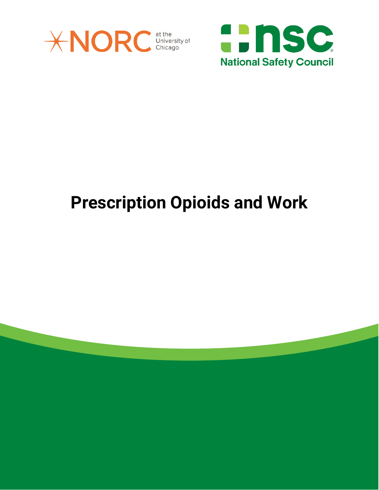



## **Prescription Opioids and Work**

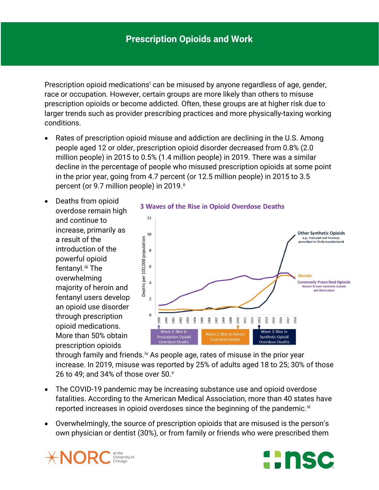Prescr[i](#page-3-0)ption opioid medications<sup>i</sup> can be misused by anyone regardless of age, gender, race or occupation. However, certain groups are more likely than others to misuse prescription opioids or become addicted. Often, these groups are at higher risk due to larger trends such as provider prescribing practices and more physically-taxing working conditions.

- Rates of prescription opioid misuse and addiction are declining in the U.S. Among people aged 12 or older, prescription opioid disorder decreased from 0.8% (2.0 million people) in 2015 to 0.5% (1.4 million people) in 2019. There was a similar decline in the percentage of people who misused prescription opioids at some point in the prior year, going from 4.7 percent (or 12.5 million people) in 2015 to 3.5 percent (or 9.7 million people) in 2019.<sup>[ii](#page-3-1)</sup>
- Deaths from opioid overdose remain high and continue to increase, primarily as a result of the introduction of the powerful opioid fentanyl.<sup>[iii](#page-4-0)</sup> The overwhelming majority of heroin and fentanyl users develop an opioid use disorder through prescription opioid medications. More than 50% obtain prescription opioids



through family and friends.<sup>[iv](#page-4-1)</sup> As people age, rates of misuse in the prior year increase. In 2019, misuse was reported by 25% of adults aged 18 to 25; 30% of those 26 to 49; and 34% of those o[v](#page-4-2)er 50. $^{\circ}$ 

- The COVID-19 pandemic may be increasing substance use and opioid overdose fatalities. According to the American Medical Association, more than 40 states have reported increases in opioid overdoses since the beginning of the pandemic. $\vec{v}$
- Overwhelmingly, the source of prescription opioids that are misused is the person's own physician or dentist (30%), or from family or friends who were prescribed them



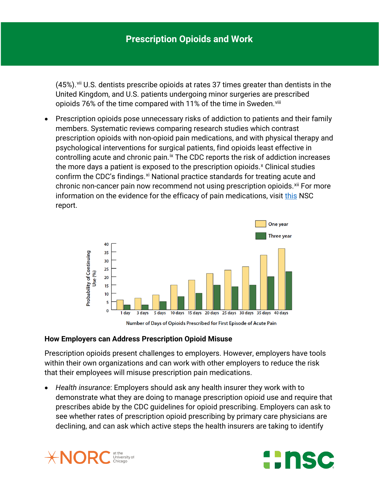$(45%)$ . <sup>[vii](#page-4-4)</sup> U.S. dentists prescribe opioids at rates 37 times greater than dentists in the United Kingdom, and U.S. patients undergoing minor surgeries are prescribed opioids 76% of the time compared with 11% of the time in Sweden.<sup>[viii](#page-4-5)</sup>

• Prescription opioids pose unnecessary risks of addiction to patients and their family members. Systematic reviews comparing research studies which contrast prescription opioids with non-opioid pain medications, and with physical therapy and psychological interventions for surgical patients, find opioids least effective in controlling acute and chronic pain.<sup>[ix](#page-4-6)</sup> The CDC reports the risk of addiction increases the more days a patient is e[x](#page-4-7)posed to the prescription opioids.<sup>x</sup> Clinical studies confirm the CDC's findings.<sup>[xi](#page-4-8)</sup> National practice standards for treating acute and chronic non-cancer pain now recommend not using prescription opioids.<sup>[xii](#page-4-9)</sup> For more information on the evidence for the efficacy of pain medications, visit [this](https://safety.nsc.org/painmedevidence) NSC report.



Number of Days of Opioids Prescribed for First Episode of Acute Pain

## **How Employers can Address Prescription Opioid Misuse**

Prescription opioids present challenges to employers. However, employers have tools within their own organizations and can work with other employers to reduce the risk that their employees will misuse prescription pain medications.

• *Health insurance*: Employers should ask any health insurer they work with to demonstrate what they are doing to manage prescription opioid use and require that prescribes abide by the CDC guidelines for opioid prescribing. Employers can ask to see whether rates of prescription opioid prescribing by primary care physicians are declining, and can ask which active steps the health insurers are taking to identify



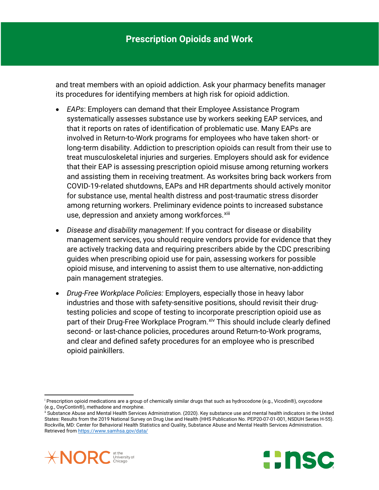and treat members with an opioid addiction. Ask your pharmacy benefits manager its procedures for identifying members at high risk for opioid addiction.

- *EAPs*: Employers can demand that their Employee Assistance Program systematically assesses substance use by workers seeking EAP services, and that it reports on rates of identification of problematic use. Many EAPs are involved in Return-to-Work programs for employees who have taken short- or long-term disability. Addiction to prescription opioids can result from their use to treat musculoskeletal injuries and surgeries. Employers should ask for evidence that their EAP is assessing prescription opioid misuse among returning workers and assisting them in receiving treatment. As worksites bring back workers from COVID-19-related shutdowns, EAPs and HR departments should actively monitor for substance use, mental health distress and post-traumatic stress disorder among returning workers. Preliminary evidence points to increased substance use, depression and anxiety among workforces.<sup>xiii</sup>
- *Disease and disability management*: If you contract for disease or disability management services, you should require vendors provide for evidence that they are actively tracking data and requiring prescribers abide by the CDC prescribing guides when prescribing opioid use for pain, assessing workers for possible opioid misuse, and intervening to assist them to use alternative, non-addicting pain management strategies.
- *Drug-Free Workplace Policies:* Employers, especially those in heavy labor industries and those with safety-sensitive positions, should revisit their drugtesting policies and scope of testing to incorporate prescription opioid use as part of their Drug-Free Workplace Program. Xiv This should include clearly defined second- or last-chance policies, procedures around Return-to-Work programs, and clear and defined safety procedures for an employee who is prescribed opioid painkillers.

<span id="page-3-1"></span><span id="page-3-0"></span>ii Substance Abuse and Mental Health Services Administration. (2020). Key substance use and mental health indicators in the United States: Results from the 2019 National Survey on Drug Use and Health (HHS Publication No. PEP20-07-01-001, NSDUH Series H-55). Rockville, MD: Center for Behavioral Health Statistics and Quality, Substance Abuse and Mental Health Services Administration. Retrieved fro[m https://www.samhsa.gov/data/](https://www.samhsa.gov/data/)



 $\overline{\phantom{a}}$ 



<sup>i</sup> Prescription opioid medications are a group of chemically similar drugs that such as hydrocodone (e.g., Vicodin®), oxycodone (e.g., OxyContin®), methadone and morphine.